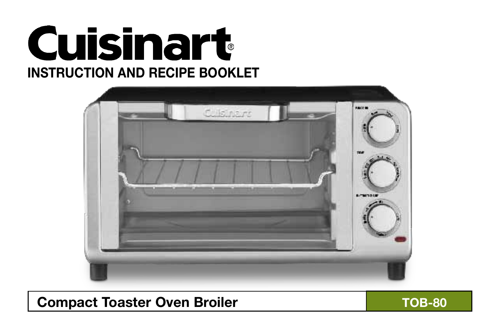



## Compact Toaster Oven Broiler **TOB-80**

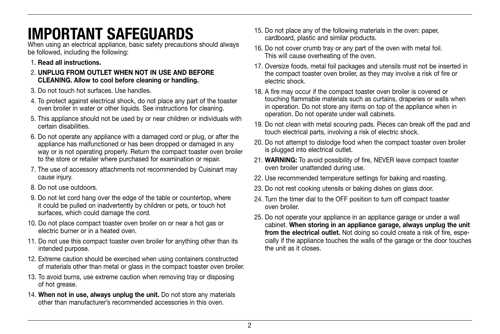# IMPORTANT SAFEGUARDS

When using an electrical appliance, basic safety precautions should always be followed, including the following:

- 1. Read all instructions.
- 2. UNPLUG FROM OUTLET WHEN NOT IN USE AND BEFORE CLEANING. Allow to cool before cleaning or handling.
- 3. Do not touch hot surfaces. Use handles.
- 4. To protect against electrical shock, do not place any part of the toaster oven broiler in water or other liquids. See instructions for cleaning.
- 5. This appliance should not be used by or near children or individuals with certain disabilities.
- 6. Do not operate any appliance with a damaged cord or plug, or after the appliance has malfunctioned or has been dropped or damaged in any way or is not operating properly. Return the compact toaster oven broiler to the store or retailer where purchased for examination or repair.
- 7. The use of accessory attachments not recommended by Cuisinart may cause injury.
- 8. Do not use outdoors.
- 9. Do not let cord hang over the edge of the table or countertop, where it could be pulled on inadvertently by children or pets, or touch hot surfaces, which could damage the cord.
- 10. Do not place compact toaster oven broiler on or near a hot gas or electric burner or in a heated oven.
- 11. Do not use this compact toaster oven broiler for anything other than its intended purpose.
- 12. Extreme caution should be exercised when using containers constructed of materials other than metal or glass in the compact toaster oven broiler.
- 13. To avoid burns, use extreme caution when removing tray or disposing of hot grease.
- 14. When not in use, always unplug the unit. Do not store any materials other than manufacturer's recommended accessories in this oven.
- 15. Do not place any of the following materials in the oven: paper, cardboard, plastic and similar products.
- 16. Do not cover crumb tray or any part of the oven with metal foil. This will cause overheating of the oven.
- 17. Oversize foods, metal foil packages and utensils must not be inserted in the compact toaster oven broiler, as they may involve a risk of fire or electric shock.
- 18. A fire may occur if the compact toaster oven broiler is covered or touching flammable materials such as curtains, draperies or walls when in operation. Do not store any items on top of the appliance when in operation. Do not operate under wall cabinets.
- 19. Do not clean with metal scouring pads. Pieces can break off the pad and touch electrical parts, involving a risk of electric shock.
- 20. Do not attempt to dislodge food when the compact toaster oven broiler is plugged into electrical outlet.
- 21. WARNING: To avoid possibility of fire, NEVER leave compact toaster oven broiler unattended during use.
- 22. Use recommended temperature settings for baking and roasting.
- 23. Do not rest cooking utensils or baking dishes on glass door.
- 24. Turn the timer dial to the OFF position to turn off compact toaster oven broiler.
- 25. Do not operate your appliance in an appliance garage or under a wall cabinet. When storing in an appliance garage, always unplug the unit from the electrical outlet. Not doing so could create a risk of fire, especially if the appliance touches the walls of the garage or the door touches the unit as it closes.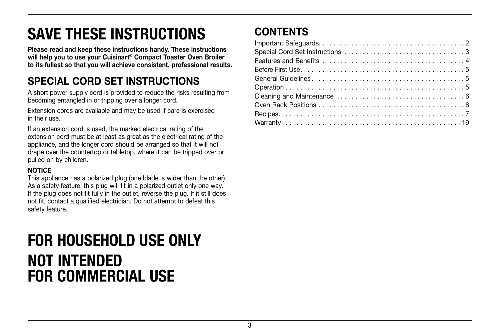# SAVE THESE INSTRUCTIONS

Please read and keep these instructions handy. These instructions will help you to use your Cuisinart® Compact Toaster Oven Broiler to its fullest so that you will achieve consistent, professional results.

## SPECIAL CORD SET INSTRUCTIONS

A short power supply cord is provided to reduce the risks resulting from becoming entangled in or tripping over a longer cord.

Extension cords are available and may be used if care is exercised in their use.

If an extension cord is used, the marked electrical rating of the extension cord must be at least as great as the electrical rating of the appliance, and the longer cord should be arranged so that it will not drape over the countertop or tabletop, where it can be tripped over or pulled on by children.

#### **NOTICE**

This appliance has a polarized plug (one blade is wider than the other). As a safety feature, this plug will fit in a polarized outlet only one way. If the plug does not fit fully in the outlet, reverse the plug. If it still does not fit, contact a qualified electrician. Do not attempt to defeat this safety feature.

# FOR HOUSEHOLD USE ONLY NOT INTENDED FOR COMMERCIAL USE

## **CONTENTS**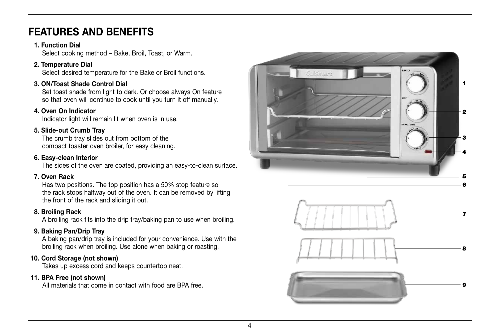## FFATURES AND BENEFITS

#### 1. Function Dial

Select cooking method – Bake, Broil, Toast, or Warm.

### 2. Temperature Dial

Select desired temperature for the Bake or Broil functions.

### 3. ON/Toast Shade Control Dial

Set toast shade from light to dark. Or choose always On feature so that oven will continue to cook until you turn it off manually.

### 4. Oven On Indicator

Indicator light will remain lit when oven is in use.

### 5. Slide-out Crumb Tray

The crumb tray slides out from bottom of the compact toaster oven broiler, for easy cleaning.

### 6. Easy-clean Interior

The sides of the oven are coated, providing an easy-to-clean surface.

## 7. Oven Rack

Has two positions. The top position has a 50% stop feature so the rack stops halfway out of the oven. It can be removed by lifting the front of the rack and sliding it out.

## 8. Broiling Rack

A broiling rack fits into the drip tray/baking pan to use when broiling.

## 9. Baking Pan/Drip Tray

A baking pan/drip tray is included for your convenience. Use with the broiling rack when broiling. Use alone when baking or roasting.

## 10. Cord Storage (not shown)

Takes up excess cord and keeps countertop neat.

### 11. BPA Free (not shown)

All materials that come in contact with food are BPA free.





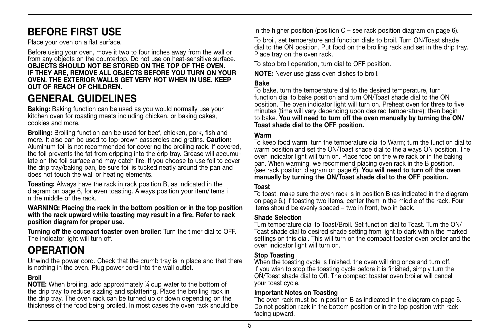## Before first use

Place your oven on a flat surface.

Before using your oven, move it two to four inches away from the wall or from any objects on the countertop. Do not use on heat-sensitive surface. OBJECTS SHOULD NOT BE STORED ON THE TOP OF THE OVEN. IF THEY ARE, REMOVE ALL OBJECTS BEFORE YOU TURN ON YOUR OVEN. THE EXTERIOR WALLS GET VERY HOT WHEN IN USE. KEEP OUT OF REACH OF CHILDREN.

## GENERAL GUIDELINES

Baking: Baking function can be used as you would normally use your kitchen oven for roasting meats including chicken, or baking cakes, cookies and more.

Broiling: Broiling function can be used for beef, chicken, pork, fish and more. It also can be used to top-brown casseroles and gratins. Caution: Aluminum foil is not recommended for covering the broiling rack. If covered, the foil prevents the fat from dripping into the drip tray. Grease will accumulate on the foil surface and may catch fire. If you choose to use foil to cover the drip tray/baking pan, be sure foil is tucked neatly around the pan and does not touch the wall or heating elements.

Toasting: Always have the rack in rack position B, as indicated in the diagram on page 6, for even toasting. Always position your item/items i n the middle of the rack.

WARNING: Placing the rack in the bottom position or in the top position with the rack upward while toasting may result in a fire. Refer to rack position diagram for proper use.

Turning off the compact toaster oven broiler: Turn the timer dial to Off. The indicator light will turn off.

## **OPERATION**

Unwind the power cord. Check that the crumb tray is in place and that there is nothing in the oven. Plug power cord into the wall outlet.

### Broil

**NOTE:** When broiling, add approximately  $\frac{1}{4}$  cup water to the bottom of the drip tray to reduce sizzling and splattering. Place the broiling rack in the drip tray. The oven rack can be turned up or down depending on the thickness of the food being broiled. In most cases the oven rack should be in the higher position (position  $C$  – see rack position diagram on page 6).

To broil, set temperature and function dials to broil. Turn ON/Toast shade dial to the ON position. Put food on the broiling rack and set in the drip tray. Place tray on the oven rack.

To stop broil operation, turn dial to off position.

**NOTE:** Never use glass oven dishes to broil.

#### Bake

To bake, turn the temperature dial to the desired temperature, turn function dial to bake position and turn ON/Toast shade dial to the ON position. The oven indicator light will turn on. Preheat oven for three to five minutes (time will vary depending upon desired temperature); then begin to bake. You will need to turn off the oven manually by turning the ON/ Toast shade dial to the OFF position.

#### Warm

To keep food warm, turn the temperature dial to Warm; turn the function dial to warm position and set the ON/Toast shade dial to the always ON position. The oven indicator light will turn on. Place food on the wire rack or in the baking pan. When warming, we recommend placing oven rack in the B position, (see rack position diagram on page 6). You will need to turn off the oven manually by turning the ON/Toast shade dial to the OFF position.

#### Toast

To toast, make sure the oven rack is in position B (as indicated in the diagram on page 6.) If toasting two items, center them in the middle of the rack. Four items should be evenly spaced – two in front, two in back.

#### Shade Selection

Turn temperature dial to Toast/Broil. Set function dial to Toast. Turn the ON/ Toast shade dial to desired shade setting from light to dark within the marked settings on this dial. This will turn on the compact toaster oven broiler and the oven indicator light will turn on.

#### Stop Toasting

When the toasting cycle is finished, the oven will ring once and turn off. If you wish to stop the toasting cycle before it is finished, simply turn the ON/Toast shade dial to Off. The compact toaster oven broiler will cancel your toast cycle.

#### Important Notes on Toasting

The oven rack must be in position B as indicated in the diagram on page 6. Do not position rack in the bottom position or in the top position with rack facing upward.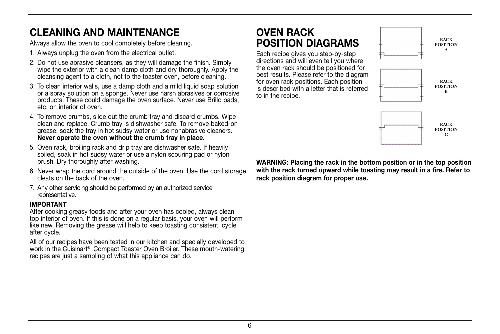## CLEANING AND MAINTENANCE

Always allow the oven to cool completely before cleaning.

- 1. Always unplug the oven from the electrical outlet.
- 2. Do not use abrasive cleansers, as they will damage the finish. Simply wipe the exterior with a clean damp cloth and dry thoroughly. Apply the cleansing agent to a cloth, not to the toaster oven, before cleaning.
- 3. To clean interior walls, use a damp cloth and a mild liquid soap solution or a spray solution on a sponge. Never use harsh abrasives or corrosive products. These could damage the oven surface. Never use Brillo pads, etc. on interior of oven.
- 4. To remove crumbs, slide out the crumb tray and discard crumbs. Wipe clean and replace. Crumb tray is dishwasher safe. To remove baked-on grease, soak the tray in hot sudsy water or use nonabrasive cleaners. Never operate the oven without the crumb tray in place.
- 5. Oven rack, broiling rack and drip tray are dishwasher safe. If heavily soiled, soak in hot sudsy water or use a nylon scouring pad or nylon brush. Dry thoroughly after washing.
- 6. Never wrap the cord around the outside of the oven. Use the cord storage cleats on the back of the oven.
- 7. Any other servicing should be performed by an authorized service representative.

#### IMPORTANT

After cooking greasy foods and after your oven has cooled, always clean top interior of oven. If this is done on a regular basis, your oven will perform like new. Removing the grease will help to keep toasting consistent, cycle after cycle.

All of our recipes have been tested in our kitchen and specially developed to work in the Cuisinart® Compact Toaster Oven Broiler. These mouth-watering recipes are just a sampling of what this appliance can do.

## Oven rack position diagrams

Each recipe gives you step-by-step directions and will even tell you where the oven rack should be positioned for best results. Please refer to the diagram for oven rack positions. Each position is described with a letter that is referred to in the recipe.



WARNING: Placing the rack in the bottom position or in the top position with the rack turned upward while toasting may result in a fire. Refer to rack position diagram for proper use.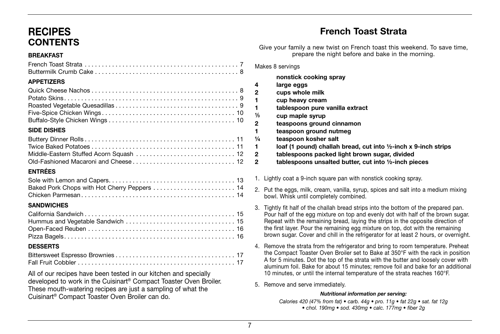## **RECIPES** CONTENTS

#### Breakfast

#### APPETIZERS

#### Side dishes

### Entrées

| Baked Pork Chops with Hot Cherry Peppers  14 |  |
|----------------------------------------------|--|
|                                              |  |

#### **SANDWICHES**

### **DESSERTS**

All of our recipes have been tested in our kitchen and specially developed to work in the Cuisinart® Compact Toaster Oven Broiler. These mouth-watering recipes are just a sampling of what the Cuisinart® Compact Toaster Oven Broiler can do.

## French Toast Strata

Give your family a new twist on French toast this weekend. To save time, prepare the night before and bake in the morning.

Makes 8 servings

|     | nonstick cooking spray                                                     |
|-----|----------------------------------------------------------------------------|
| 4   | large eggs                                                                 |
| 2   | cups whole milk                                                            |
| 1   | cup heavy cream                                                            |
| 1   | tablespoon pure vanilla extract                                            |
| ⅓   | cup maple syrup                                                            |
| 2   | teaspoons ground cinnamon                                                  |
| 1   | teaspoon ground nutmeg                                                     |
| 1/4 | teaspoon kosher salt                                                       |
| 1   | loaf (1 pound) challah bread, cut into $\frac{1}{2}$ -inch x 9-inch strips |
| 2   | tablespoons packed light brown sugar, divided                              |
| 2   | tablespoons unsalted butter, cut into 1/2-inch pieces                      |

1. Lightly coat a 9-inch square pan with nonstick cooking spray.

- 2. Put the eggs, milk, cream, vanilla, syrup, spices and salt into a medium mixing bowl. Whisk until completely combined.
- 3. Tightly fit half of the challah bread strips into the bottom of the prepared pan. Pour half of the egg mixture on top and evenly dot with half of the brown sugar. Repeat with the remaining bread, laying the strips in the opposite direction of the first layer. Pour the remaining egg mixture on top, dot with the remaining brown sugar. Cover and chill in the refrigerator for at least 2 hours, or overnight.
- 4. Remove the strata from the refrigerator and bring to room temperature. Preheat the Compact Toaster Oven Broiler set to Bake at 350°F with the rack in position A for 5 minutes. Dot the top of the strata with the butter and loosely cover with aluminum foil. Bake for about 15 minutes; remove foil and bake for an additional 10 minutes, or until the internal temperature of the strata reaches 160°F.
- 5. Remove and serve immediately.

#### *Nutritional information per serving:*

Calories 420 (47% from fat) • carb. 44g • pro. 11g • fat 22g • sat. fat 12g • chol. 190mg • sod. 430mg • calc. 177mg • fiber 2g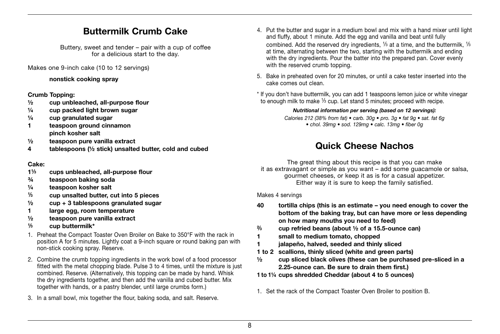## Buttermilk Crumb Cake

Buttery, sweet and tender – pair with a cup of coffee for a delicious start to the day.

Makes one 9-inch cake (10 to 12 servings)

nonstick cooking spray

#### Crumb Topping:

- ½ cup unbleached, all-purpose flour
- ¼ cup packed light brown sugar
- $\frac{1}{4}$  cup granulated sugar
- 1 teaspoon ground cinnamon pinch kosher salt
- ½ teaspoon pure vanilla extract
- 4 tablespoons (½ stick) unsalted butter, cold and cubed

#### Cake:

- 1<sup>1/3</sup> cups unbleached, all-purpose flour
- ¾ teaspoon baking soda
- ¼ teaspoon kosher salt
- $\frac{1}{3}$  cup unsalted butter, cut into 5 pieces
- $\frac{1}{2}$  cup + 3 tablespoons granulated sugar
- 1 large egg, room temperature
- ½ teaspoon pure vanilla extract
- <sup>1</sup>⁄<sup>3</sup> cup buttermilk\*
- 1. Preheat the Compact Toaster Oven Broiler on Bake to 350°F with the rack in position A for 5 minutes. Lightly coat a 9-inch square or round baking pan with non-stick cooking spray. Reserve.
- 2. Combine the crumb topping ingredients in the work bowl of a food processor fitted with the metal chopping blade. Pulse 3 to 4 times, until the mixture is just combined. Reserve. (Alternatively, this topping can be made by hand. Whisk the dry ingredients together, and then add the vanilla and cubed butter. Mix together with hands, or a pastry blender, until large crumbs form.)
- 3. In a small bowl, mix together the flour, baking soda, and salt. Reserve.
- 4. Put the butter and sugar in a medium bowl and mix with a hand mixer until light and fluffy, about 1 minute. Add the egg and vanilla and beat until fully combined. Add the reserved dry ingredients,  $1/3$  at a time, and the buttermilk,  $1/3$ at time, alternating between the two, starting with the buttermilk and ending with the dry ingredients. Pour the batter into the prepared pan. Cover evenly with the reserved crumb topping.
- 5. Bake in preheated oven for 20 minutes, or until a cake tester inserted into the cake comes out clean.

\* If you don't have buttermilk, you can add 1 teaspoons lemon juice or white vinegar to enough milk to make <sup>1/3</sup> cup. Let stand 5 minutes; proceed with recipe.

#### *Nutritional information per serving (based on 12 servings):*

Calories 212 (38% from fat) • carb. 30g • pro. 3g • fat 9g • sat. fat 6g • chol. 39mg • sod. 129mg • calc. 13mg • fiber 0g

## Quick Cheese Nachos

The great thing about this recipe is that you can make it as extravagant or simple as you want – add some guacamole or salsa, gourmet cheeses, or keep it as is for a casual appetizer. Either way it is sure to keep the family satisfied.

#### Makes 4 servings

- 40 tortilla chips (this is an estimate you need enough to cover the bottom of the baking tray, but can have more or less depending on how many mouths you need to feed)
- $\frac{2}{3}$  cup refried beans (about  $\frac{1}{2}$  of a 15.5-ounce can)
- 1 small to medium tomato, chopped
- 1 jalapeño, halved, seeded and thinly sliced
- 1 to 2 scallions, thinly sliced (white and green parts)
- $\frac{1}{2}$  cup sliced black olives (these can be purchased pre-sliced in a 2.25-ounce can. Be sure to drain them first.)
- 1 to 1¼ cups shredded Cheddar (about 4 to 5 ounces)
- 1. Set the rack of the Compact Toaster Oven Broiler to position B.
- 8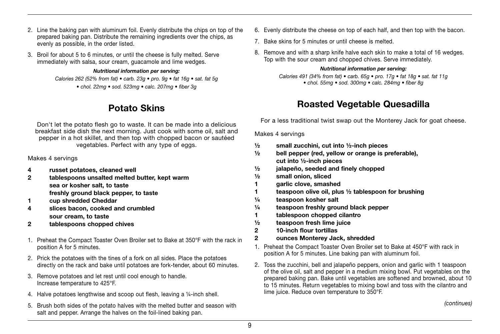- 2. Line the baking pan with aluminum foil. Evenly distribute the chips on top of the prepared baking pan. Distribute the remaining ingredients over the chips, as evenly as possible, in the order listed.
- 3. Broil for about 5 to 6 minutes, or until the cheese is fully melted. Serve immediately with salsa, sour cream, guacamole and lime wedges.

#### *Nutritional information per serving:*

Calories 262 (52% from fat) • carb. 23g • pro. 9g • fat 16g • sat. fat 5g • chol. 22mg • sod. 523mg • calc. 207mg • fiber 3g

## Potato Skins

Don't let the potato flesh go to waste. It can be made into a delicious breakfast side dish the next morning. Just cook with some oil, salt and pepper in a hot skillet, and then top with chopped bacon or sautéed vegetables. Perfect with any type of eggs.

Makes 4 servings

- 4 russet potatoes, cleaned well
- 2 tablespoons unsalted melted butter, kept warm sea or kosher salt, to taste freshly ground black pepper, to taste
- 1 cup shredded Cheddar
- 4 slices bacon, cooked and crumbled sour cream, to taste
- 2 tablespoons chopped chives
- 1. Preheat the Compact Toaster Oven Broiler set to Bake at 350°F with the rack in position A for 5 minutes.
- 2. Prick the potatoes with the tines of a fork on all sides. Place the potatoes directly on the rack and bake until potatoes are fork-tender, about 60 minutes.
- 3. Remove potatoes and let rest until cool enough to handle. Increase temperature to 425°F.
- 4. Halve potatoes lengthwise and scoop out flesh, leaving a ¼-inch shell.
- 5. Brush both sides of the potato halves with the melted butter and season with salt and pepper. Arrange the halves on the foil-lined baking pan.
- 6. Evenly distribute the cheese on top of each half, and then top with the bacon.
- 7. Bake skins for 5 minutes or until cheese is melted.
- 8. Remove and with a sharp knife halve each skin to make a total of 16 wedges. Top with the sour cream and chopped chives. Serve immediately.

#### *Nutritional information per serving:*

Calories 491 (34% from fat) • carb. 65g • pro. 17g • fat 18g • sat. fat 11g • chol. 55mg • sod. 300mg • calc. 284mg • fiber 8g

## Roasted Vegetable Quesadilla

For a less traditional twist swap out the Monterey Jack for goat cheese.

Makes 4 servings

- $\frac{1}{2}$  small zucchini, cut into  $\frac{1}{2}$ -inch pieces
- $\frac{1}{2}$  bell pepper (red, vellow or orange is preferable). cut into ½-inch pieces
- ½ jalapeño, seeded and finely chopped
- ½ small onion, sliced
- 1 garlic clove, smashed
- 1 teaspoon olive oil, plus ½ tablespoon for brushing
- ¼ teaspoon kosher salt
- ¼ teaspoon freshly ground black pepper
- 1 tablespoon chopped cilantro
- $\frac{1}{2}$  teaspoon fresh lime juice
- 2 10-inch flour tortillas
- 2 ounces Monterey Jack, shredded
- 1. Preheat the Compact Toaster Oven Broiler set to Bake at 450°F with rack in position A for 5 minutes. Line baking pan with aluminum foil.
- 2. Toss the zucchini, bell and jalapeño peppers, onion and garlic with 1 teaspoon of the olive oil, salt and pepper in a medium mixing bowl. Put vegetables on the prepared baking pan. Bake until vegetables are softened and browned, about 10 to 15 minutes. Return vegetables to mixing bowl and toss with the cilantro and lime juice. Reduce oven temperature to 350°F.

(continues)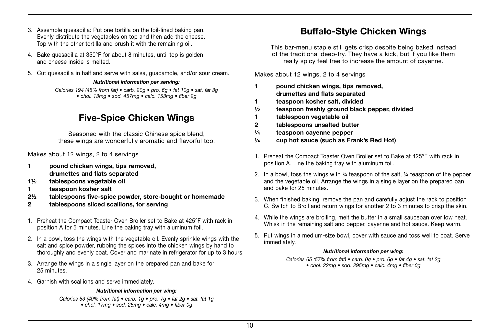- 3. Assemble quesadilla: Put one tortilla on the foil-lined baking pan. Evenly distribute the vegetables on top and then add the cheese. Top with the other tortilla and brush it with the remaining oil.
- 4. Bake quesadilla at 350°F for about 8 minutes, until top is golden and cheese inside is melted.
- 5. Cut quesadilla in half and serve with salsa, guacamole, and/or sour cream.

#### *Nutritional information per serving:*

Calories 194 (45% from fat) • carb. 20g • pro. 6g • fat 10g • sat. fat 3g • chol. 13mg • sod. 457mg • calc. 153mg • fiber 2g

## Five-Spice Chicken Wings

Seasoned with the classic Chinese spice blend, these wings are wonderfully aromatic and flavorful too.

Makes about 12 wings, 2 to 4 servings

- 1 pound chicken wings, tips removed, drumettes and flats separated
- 1½ tablespoons vegetable oil
- 1 teaspoon kosher salt
- 2½ tablespoons five-spice powder, store-bought or homemade
- 2 tablespoons sliced scallions, for serving
- 1. Preheat the Compact Toaster Oven Broiler set to Bake at 425°F with rack in position A for 5 minutes. Line the baking tray with aluminum foil.
- 2. In a bowl, toss the wings with the vegetable oil. Evenly sprinkle wings with the salt and spice powder, rubbing the spices into the chicken wings by hand to thoroughly and evenly coat. Cover and marinate in refrigerator for up to 3 hours.
- 3. Arrange the wings in a single layer on the prepared pan and bake for 25 minutes.
- 4. Garnish with scallions and serve immediately.

#### *Nutritional information per wing:*

Calories 53 (40% from fat) • carb. 1q • pro. 7q • fat 2q • sat. fat 1q • chol. 17mg • sod. 25mg • calc. 4mg • fiber 0g

## Buffalo-Style Chicken Wings

This bar-menu staple still gets crisp despite being baked instead of the traditional deep-fry. They have a kick, but if you like them really spicy feel free to increase the amount of cayenne.

Makes about 12 wings, 2 to 4 servings

- 1 pound chicken wings, tips removed, drumettes and flats separated
- 1 teaspoon kosher salt, divided
- ½ teaspoon freshly ground black pepper, divided
- 1 tablespoon vegetable oil
- 2 tablespoons unsalted butter
- ¼ teaspoon cayenne pepper
- ¼ cup hot sauce (such as Frank's Red Hot)
- 1. Preheat the Compact Toaster Oven Broiler set to Bake at 425°F with rack in position A. Line the baking tray with aluminum foil.
- 2. In a bowl, toss the wings with  $\frac{3}{4}$  teaspoon of the salt,  $\frac{1}{4}$  teaspoon of the pepper, and the vegetable oil. Arrange the wings in a single layer on the prepared pan and bake for 25 minutes.
- 3. When finished baking, remove the pan and carefully adjust the rack to position C. Switch to Broil and return wings for another 2 to 3 minutes to crisp the skin.
- 4. While the wings are broiling, melt the butter in a small saucepan over low heat. Whisk in the remaining salt and pepper, cavenne and hot sauce. Keep warm.
- 5. Put wings in a medium-size bowl, cover with sauce and toss well to coat. Serve immediately.

#### *Nutritional information per wing:*

Calories 65 (57% from fat) • carb. 0g • pro. 6g • fat 4g • sat. fat 2g • chol. 22mg • sod. 295mg • calc. 4mg • fiber 0g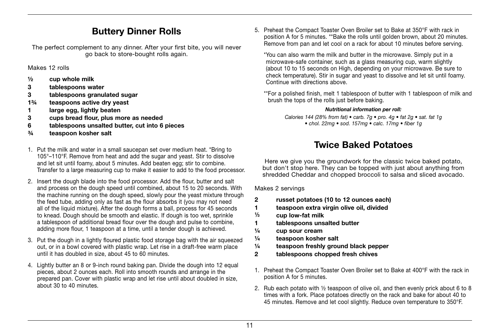## Buttery Dinner Rolls

The perfect complement to any dinner. After your first bite, you will never go back to store-bought rolls again.

Makes 12 rolls

- $\frac{1}{2}$  cup whole milk
- 3 tablespoons water
- 3 tablespoons granulated sugar
- 1¾ teaspoons active dry yeast
- 1 large egg, lightly beaten
- 3 cups bread flour, plus more as needed
- 6 tablespoons unsalted butter, cut into 6 pieces
- ¾ teaspoon kosher salt
- 1. Put the milk and water in a small saucepan set over medium heat. \*Bring to 105°–110°F. Remove from heat and add the sugar and yeast. Stir to dissolve and let sit until foamy, about 5 minutes. Add beaten egg; stir to combine. Transfer to a large measuring cup to make it easier to add to the food processor.
- 2. Insert the dough blade into the food processor. Add the flour, butter and salt and process on the dough speed until combined, about 15 to 20 seconds. With the machine running on the dough speed, slowly pour the yeast mixture through the feed tube, adding only as fast as the flour absorbs it (you may not need all of the liquid mixture). After the dough forms a ball, process for 45 seconds to knead. Dough should be smooth and elastic. If dough is too wet, sprinkle a tablespoon of additional bread flour over the dough and pulse to combine, adding more flour, 1 teaspoon at a time, until a tender dough is achieved.
- 3. Put the dough in a lightly floured plastic food storage bag with the air squeezed out, or in a bowl covered with plastic wrap. Let rise in a draft-free warm place until it has doubled in size, about 45 to 60 minutes.
- 4. Lightly butter an 8 or 9-inch round baking pan. Divide the dough into 12 equal pieces, about 2 ounces each. Roll into smooth rounds and arrange in the prepared pan. Cover with plastic wrap and let rise until about doubled in size, about 30 to 40 minutes.

5. Preheat the Compact Toaster Oven Broiler set to Bake at 350°F with rack in position A for 5 minutes. \*\*Bake the rolls until golden brown, about 20 minutes. Remove from pan and let cool on a rack for about 10 minutes before serving.

\*You can also warm the milk and butter in the microwave. Simply put in a microwave-safe container, such as a glass measuring cup, warm slightly (about 10 to 15 seconds on High, depending on your microwave. Be sure to check temperature). Stir in sugar and yeast to dissolve and let sit until foamy. Continue with directions above.

\*\* For a polished finish, melt 1 tablespoon of butter with 1 tablespoon of milk and brush the tops of the rolls just before baking.

#### *Nutritional information per roll:*

Calories 144 (28% from fat) • carb. 7g • pro. 4g • fat 2g • sat. fat 1g • chol. 22mg • sod. 157mg • calc. 17mg • fiber 1g

## Twice Baked Potatoes

Here we give you the groundwork for the classic twice baked potato, but don't stop here. They can be topped with just about anything from shredded Cheddar and chopped broccoli to salsa and sliced avocado.

Makes 2 servings

- 2 russet potatoes (10 to 12 ounces each)
- 1 teaspoon extra virgin olive oil, divided
- <sup>1</sup>⁄<sup>3</sup> cup low-fat milk
- 1 tablespoons unsalted butter
- ¼ cup sour cream
- ¼ teaspoon kosher salt
- ¼ teaspoon freshly ground black pepper
- 2 tablespoons chopped fresh chives
- 1. Preheat the Compact Toaster Oven Broiler set to Bake at 400°F with the rack in position A for 5 minutes.
- 2. Rub each potato with ½ teaspoon of olive oil, and then evenly prick about 6 to 8 times with a fork. Place potatoes directly on the rack and bake for about 40 to 45 minutes. Remove and let cool slightly. Reduce oven temperature to 350°F.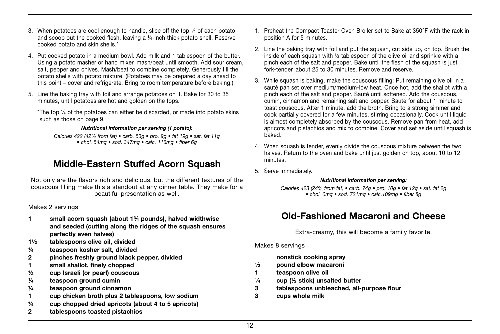- 3. When potatoes are cool enough to handle, slice off the top ¼ of each potato and scoop out the cooked flesh, leaving a ¼-inch thick potato shell. Reserve cooked potato and skin shells.\*
- 4. Put cooked potato in a medium bowl. Add milk and 1 tablespoon of the butter. Using a potato masher or hand mixer, mash/beat until smooth. Add sour cream, salt, pepper and chives. Mash/beat to combine completely. Generously fill the potato shells with potato mixture. (Potatoes may be prepared a day ahead to this point – cover and refrigerate. Bring to room temperature before baking.)
- 5. Line the baking tray with foil and arrange potatoes on it. Bake for 30 to 35 minutes, until potatoes are hot and golden on the tops.

\*The top ¼ of the potatoes can either be discarded, or made into potato skins such as those on page 9.

#### *Nutritional information per serving (1 potato):*

Calories 422 (42% from fat) • carb. 53g • pro. 9g • fat 19g • sat. fat 11g • chol. 54mg • sod. 347mg • calc. 116mg • fiber 6g

## Middle-Eastern Stuffed Acorn Squash

Not only are the flavors rich and delicious, but the different textures of the couscous filling make this a standout at any dinner table. They make for a beautiful presentation as well.

#### Makes 2 servings

- 1 small acorn squash (about 1¾ pounds), halved widthwise and seeded (cutting along the ridges of the squash ensures perfectly even halves)
- 1½ tablespoons olive oil, divided
- ¼ teaspoon kosher salt, divided
- 2 pinches freshly ground black pepper, divided
- 1 small shallot, finely chopped
- ½ cup Israeli (or pearl) couscous
- ¼ teaspoon ground cumin
- ¼ teaspoon ground cinnamon
- 1 cup chicken broth plus 2 tablespoons, low sodium
- ¼ cup chopped dried apricots (about 4 to 5 apricots)
- 2 tablespoons toasted pistachios
- 1. Preheat the Compact Toaster Oven Broiler set to Bake at 350°F with the rack in position A for 5 minutes.
- 2. Line the baking tray with foil and put the squash, cut side up, on top. Brush the inside of each squash with ½ tablespoon of the olive oil and sprinkle with a pinch each of the salt and pepper. Bake until the flesh of the squash is just fork-tender, about 25 to 30 minutes. Remove and reserve.
- 3. While squash is baking, make the couscous filling: Put remaining olive oil in a sauté pan set over medium/medium-low heat. Once hot, add the shallot with a pinch each of the salt and pepper. Sauté until softened. Add the couscous, cumin, cinnamon and remaining salt and pepper. Sauté for about 1 minute to toast couscous. After 1 minute, add the broth. Bring to a strong simmer and cook partially covered for a few minutes, stirring occasionally. Cook until liquid is almost completely absorbed by the couscous. Remove pan from heat, add apricots and pistachios and mix to combine. Cover and set aside until squash is baked.
- 4. When squash is tender, evenly divide the couscous mixture between the two halves. Return to the oven and bake until just golden on top, about 10 to 12 minutes.
- 5. Serve immediately.

#### *Nutritional information per serving:*

Calories 423 (24% from fat) • carb. 74g • pro. 10g • fat 12g • sat. fat 2g • chol. 0mg • sod. 721mg • calc.109mg • fiber 8g

## Old-Fashioned Macaroni and Cheese

Extra-creamy, this will become a family favorite.

Makes 8 servings

nonstick cooking spray

- ½ pound elbow macaroni
- 1 teaspoon olive oil
- $\frac{1}{4}$  cup ( $\frac{1}{2}$  stick) unsalted butter
- 3 tablespoons unbleached, all-purpose flour
- 3 cups whole milk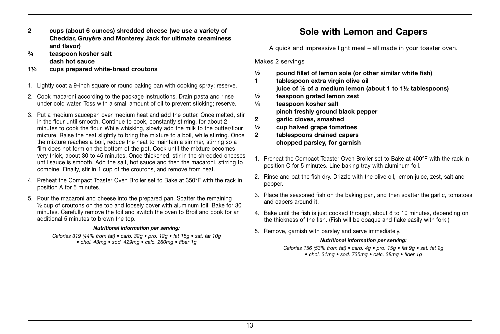- 2 cups (about 6 ounces) shredded cheese (we use a variety of Cheddar, Gruyère and Monterey Jack for ultimate creaminess and flavor)
- ¾ teaspoon kosher salt

dash hot sauce

- 1½ cups prepared white-bread croutons
- 1. Lightly coat a 9-inch square or round baking pan with cooking spray; reserve.
- 2. Cook macaroni according to the package instructions. Drain pasta and rinse under cold water. Toss with a small amount of oil to prevent sticking; reserve.
- 3. Put a medium saucepan over medium heat and add the butter. Once melted, stir in the flour until smooth. Continue to cook, constantly stirring, for about 2 minutes to cook the flour. While whisking, slowly add the milk to the butter/flour mixture. Raise the heat slightly to bring the mixture to a boil, while stirring. Once the mixture reaches a boil, reduce the heat to maintain a simmer, stirring so a film does not form on the bottom of the pot. Cook until the mixture becomes very thick, about 30 to 45 minutes. Once thickened, stir in the shredded cheeses until sauce is smooth. Add the salt, hot sauce and then the macaroni, stirring to combine. Finally, stir in 1 cup of the croutons, and remove from heat.
- 4. Preheat the Compact Toaster Oven Broiler set to Bake at 350°F with the rack in position A for 5 minutes.
- 5. Pour the macaroni and cheese into the prepared pan. Scatter the remaining ½ cup of croutons on the top and loosely cover with aluminum foil. Bake for 30 minutes. Carefully remove the foil and switch the oven to Broil and cook for an additional 5 minutes to brown the top.

#### *Nutritional information per serving:*

Calories 319 (44% from fat) • carb. 32g • pro. 12g • fat 15g • sat. fat 10g • chol. 43mg • sod. 429mg • calc. 260mg • fiber 1g

## Sole with Lemon and Capers

A quick and impressive light meal – all made in your toaster oven.

Makes 2 servings

- ½ pound fillet of lemon sole (or other similar white fish)
- 1 tablespoon extra virgin olive oil
	- juice of  $\frac{1}{2}$  of a medium lemon (about 1 to 1 $\frac{1}{2}$  tablespoons)
- ½ teaspoon grated lemon zest
- ¼ teaspoon kosher salt pinch freshly ground black pepper
- 2 garlic cloves, smashed
- $\frac{1}{2}$  cup halved grape tomatoes
- 2 tablespoons drained capers chopped parsley, for garnish
- 1. Preheat the Compact Toaster Oven Broiler set to Bake at 400°F with the rack in position C for 5 minutes. Line baking tray with aluminum foil.
- 2. Rinse and pat the fish dry. Drizzle with the olive oil, lemon juice, zest, salt and pepper.
- 3. Place the seasoned fish on the baking pan, and then scatter the garlic, tomatoes and capers around it.
- 4. Bake until the fish is just cooked through, about 8 to 10 minutes, depending on the thickness of the fish. (Fish will be opaque and flake easily with fork.)
- 5. Remove, garnish with parsley and serve immediately.

#### *Nutritional information per serving:*

Calories 156 (53% from fat) • carb. 4g • pro. 15g • fat 9g • sat. fat 2g • chol. 31mg • sod. 735mg • calc. 38mg • fiber 1g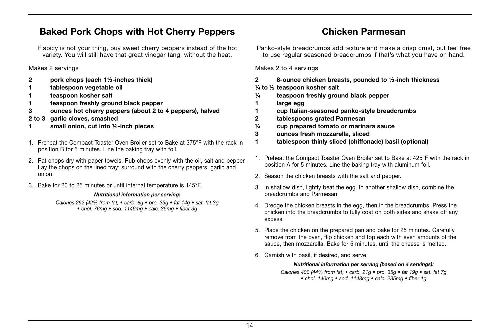## Baked Pork Chops with Hot Cherry Peppers

If spicy is not your thing, buy sweet cherry peppers instead of the hot variety. You will still have that great vinegar tang, without the heat.

Makes 2 servings

- 2 pork chops (each 1½-inches thick)
- 1 tablespoon vegetable oil
- teaspoon kosher salt
- 1 teaspoon freshly ground black pepper
- 3 ounces hot cherry peppers (about 2 to 4 peppers), halved
- 2 to 3 garlic cloves, smashed
- 1 small onion, cut into ½-inch pieces
- 1. Preheat the Compact Toaster Oven Broiler set to Bake at 375°F with the rack in position B for 5 minutes. Line the baking tray with foil.
- 2. Pat chops dry with paper towels. Rub chops evenly with the oil, salt and pepper. Lay the chops on the lined tray; surround with the cherry peppers, garlic and onion.
- 3. Bake for 20 to 25 minutes or until internal temperature is 145°F.

#### *Nutritional information per serving:*

Calories 292 (42% from fat) • carb. 8g • pro. 35g • fat 14g • sat. fat 3g • chol. 76mg • sod. 1146mg • calc. 35mg • fiber 3g

#### Panko-style breadcrumbs add texture and make a crisp crust, but feel free to use regular seasoned breadcrumbs if that's what you have on hand.

Chicken Parmesan

Makes 2 to 4 servings

- 2 8-ounce chicken breasts, pounded to ½-inch thickness
- ¼ to ½ teaspoon kosher salt
- ¼ teaspoon freshly ground black pepper
- 1 large egg
- 1 cup Italian-seasoned panko-style breadcrumbs
- 2 tablespoons grated Parmesan
- ¼ cup prepared tomato or marinara sauce
- 3 ounces fresh mozzarella, sliced
- 1 tablespoon thinly sliced (chiffonade) basil (optional)
- 1. Preheat the Compact Toaster Oven Broiler set to Bake at 425°F with the rack in position A for 5 minutes. Line the baking tray with aluminum foil.
- 2. Season the chicken breasts with the salt and pepper.
- 3. In shallow dish, lightly beat the egg. In another shallow dish, combine the breadcrumbs and Parmesan.
- 4. Dredge the chicken breasts in the egg, then in the breadcrumbs. Press the chicken into the breadcrumbs to fully coat on both sides and shake off any excess.
- 5. Place the chicken on the prepared pan and bake for 25 minutes. Carefully remove from the oven, flip chicken and top each with even amounts of the sauce, then mozzarella. Bake for 5 minutes, until the cheese is melted.
- 6. Garnish with basil, if desired, and serve.

#### *Nutritional information per serving (based on 4 servings):*

Calories 400 (44% from fat) • carb. 21g • pro. 35g • fat 19g • sat. fat 7g • chol. 140mg • sod. 1148mg • calc. 235mg • fiber 1g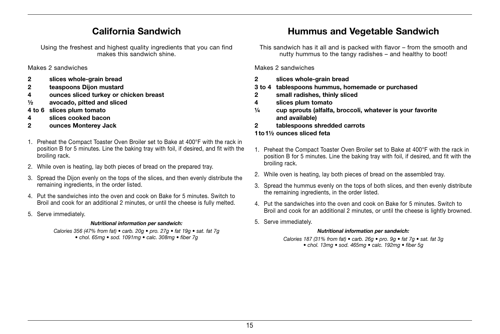## California Sandwich

Using the freshest and highest quality ingredients that you can find makes this sandwich shine.

Makes 2 sandwiches

- 2 slices whole-grain bread
- 2 teaspoons Dijon mustard
- 4 ounces sliced turkey or chicken breast
- ½ avocado, pitted and sliced
- 4 to 6 slices plum tomato
- 4 slices cooked bacon
- 2 ounces Monterey Jack
- 1. Preheat the Compact Toaster Oven Broiler set to Bake at 400°F with the rack in position B for 5 minutes. Line the baking tray with foil, if desired, and fit with the broiling rack.
- 2. While oven is heating, lay both pieces of bread on the prepared tray.
- 3. Spread the Dijon evenly on the tops of the slices, and then evenly distribute the remaining ingredients, in the order listed.
- 4. Put the sandwiches into the oven and cook on Bake for 5 minutes. Switch to Broil and cook for an additional 2 minutes, or until the cheese is fully melted.
- 5. Serve immediately.

#### *Nutritional information per sandwich:*

Calories 356 (47% from fat) • carb. 20g • pro. 27g • fat 19g • sat. fat 7g • chol. 65mg • sod. 1091mg • calc. 308mg • fiber 7g

## Hummus and Vegetable Sandwich

This sandwich has it all and is packed with flavor – from the smooth and nutty hummus to the tangy radishes – and healthy to boot!

#### Makes 2 sandwiches

- 2 slices whole-grain bread
- 3 to 4 tablespoons hummus, homemade or purchased
- 2 small radishes, thinly sliced
- 4 slices plum tomato
- ¼ cup sprouts (alfalfa, broccoli, whatever is your favorite and available)
- 2 tablespoons shredded carrots

#### 1to1½ ounces sliced feta

- 1. Preheat the Compact Toaster Oven Broiler set to Bake at 400°F with the rack in position B for 5 minutes. Line the baking tray with foil, if desired, and fit with the broiling rack.
- 2. While oven is heating, lay both pieces of bread on the assembled tray.
- 3. Spread the hummus evenly on the tops of both slices, and then evenly distribute the remaining ingredients, in the order listed.
- 4. Put the sandwiches into the oven and cook on Bake for 5 minutes. Switch to Broil and cook for an additional 2 minutes, or until the cheese is lightly browned.
- 5. Serve immediately.

#### *Nutritional information per sandwich:*

Calories 187 (31% from fat) • carb. 26g • pro. 9g • fat 7g • sat. fat 3g • chol. 13mg • sod. 465mg • calc. 192mg • fiber 5g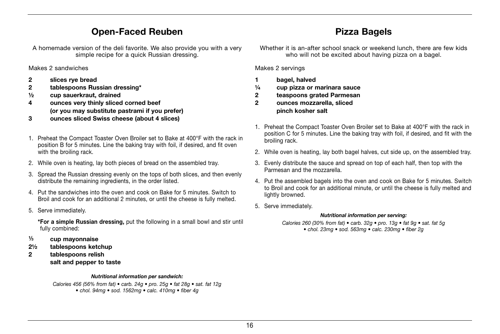## Open-Faced Reuben

A homemade version of the deli favorite. We also provide you with a very simple recipe for a quick Russian dressing.

Makes 2 sandwiches

- 2 slices rye bread
- 2 tablespoons Russian dressing\*
- ½ cup sauerkraut, drained
- 4 ounces very thinly sliced corned beef (or you may substitute pastrami if you prefer)
- 3 ounces sliced Swiss cheese (about 4 slices)
- 1. Preheat the Compact Toaster Oven Broiler set to Bake at 400°F with the rack in position B for 5 minutes. Line the baking tray with foil, if desired, and fit oven with the broiling rack.
- 2. While oven is heating, lay both pieces of bread on the assembled tray.
- 3. Spread the Russian dressing evenly on the tops of both slices, and then evenly distribute the remaining ingredients, in the order listed.
- 4. Put the sandwiches into the oven and cook on Bake for 5 minutes. Switch to Broil and cook for an additional 2 minutes, or until the cheese is fully melted.
- 5. Serve immediately.

\*For a simple Russian dressing, put the following in a small bowl and stir until fully combined:

- <sup>1</sup>⁄<sup>3</sup> cup mayonnaise
- 2½ tablespoons ketchup
- 2 tablespoons relish salt and pepper to taste

#### *Nutritional information per sandwich:*

Calories 456 (56% from fat) • carb. 24g • pro. 25g • fat 28g • sat. fat 12g • chol. 94mg • sod. 1562mg • calc. 410mg • fiber 4g

Whether it is an-after school snack or weekend lunch, there are few kids who will not be excited about having pizza on a bagel.

Pizza Bagels

Makes 2 servings

- 1 bagel, halved
- ¼ cup pizza or marinara sauce
- 2 teaspoons grated Parmesan
- 2 ounces mozzarella, sliced pinch kosher salt
- 1. Preheat the Compact Toaster Oven Broiler set to Bake at 400°F with the rack in position C for 5 minutes. Line the baking tray with foil, if desired, and fit with the broiling rack.
- 2. While oven is heating, lay both bagel halves, cut side up, on the assembled tray.
- 3. Evenly distribute the sauce and spread on top of each half, then top with the Parmesan and the mozzarella.
- 4. Put the assembled bagels into the oven and cook on Bake for 5 minutes. Switch to Broil and cook for an additional minute, or until the cheese is fully melted and lightly browned.
- 5. Serve immediately.

#### *Nutritional information per serving:*

Calories 260 (30% from fat) • carb. 32g • pro. 13g • fat 9g • sat. fat 5g • chol. 23mg • sod. 563mg • calc. 230mg • fiber 2g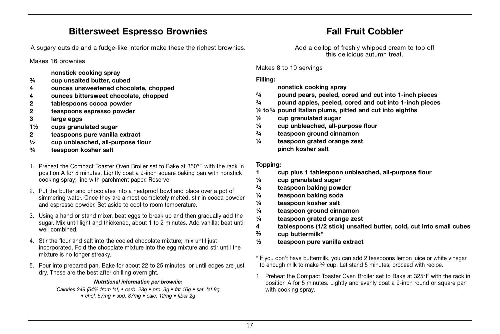## Bittersweet Espresso Brownies

A sugary outside and a fudge-like interior make these the richest brownies.

Makes 16 brownies

nonstick cooking spray

- ¾ cup unsalted butter, cubed
- 4 ounces unsweetened chocolate, chopped
- 4 ounces bittersweet chocolate, chopped
- 2 tablespoons cocoa powder
- 2 teaspoons espresso powder
- 3 large eggs
- 1½ cups granulated sugar
- 2 teaspoons pure vanilla extract
- ½ cup unbleached, all-purpose flour
- ¾ teaspoon kosher salt
- 1. Preheat the Compact Toaster Oven Broiler set to Bake at 350°F with the rack in position A for 5 minutes. Lightly coat a 9-inch square baking pan with nonstick cooking spray; line with parchment paper. Reserve.
- 2. Put the butter and chocolates into a heatproof bowl and place over a pot of simmering water. Once they are almost completely melted, stir in cocoa powder and espresso powder. Set aside to cool to room temperature.
- 3. Using a hand or stand mixer, beat eggs to break up and then gradually add the sugar. Mix until light and thickened, about 1 to 2 minutes. Add vanilla; beat until well combined.
- 4. Stir the flour and salt into the cooled chocolate mixture; mix until just incorporated. Fold the chocolate mixture into the egg mixture and stir until the mixture is no longer streaky.
- 5. Pour into prepared pan. Bake for about 22 to 25 minutes, or until edges are just dry. These are the best after chilling overnight.

#### *Nutritional information per brownie:*

Calories 249 (54% from fat) • carb. 28g • pro. 3g • fat 16g • sat. fat 9g • chol. 57mg • sod. 87mg • calc. 12mg • fiber 2g

## Fall Fruit Cobbler

Add a dollop of freshly whipped cream to top off this delicious autumn treat.

Makes 8 to 10 servings

#### Filling:

nonstick cooking spray

- ¾ pound pears, peeled, cored and cut into 1-inch pieces
- ¾ pound apples, peeled, cored and cut into 1-inch pieces
- $\frac{1}{2}$  to  $\frac{3}{4}$  pound Italian plums, pitted and cut into eighths
- $\frac{1}{2}$  cup granulated sugar
- ¼ cup unbleached, all-purpose flour
- ¾ teaspoon ground cinnamon
- ¼ teaspoon grated orange zest pinch kosher salt

#### Topping:

- 1 cup plus 1 tablespoon unbleached, all-purpose flour
- $\frac{1}{4}$  cup granulated sugar
- ¾ teaspoon baking powder
- ¼ teaspoon baking soda
- ¼ teaspoon kosher salt
- $\frac{1}{4}$  teaspoon ground cinnamon
- ¼ teaspoon grated orange zest
- 4 tablespoons (1/2 stick) unsalted butter, cold, cut into small cubes
- $\frac{2}{3}$  cup buttermilk\*
- ½ teaspoon pure vanilla extract
- \* If you don't have buttermilk, you can add 2 teaspoons lemon juice or white vinegar to enough milk to make <sup>2/3</sup> cup. Let stand 5 minutes; proceed with recipe.
- 1. Preheat the Compact Toaster Oven Broiler set to Bake at 325°F with the rack in position A for 5 minutes. Lightly and evenly coat a 9-inch round or square pan with cooking spray.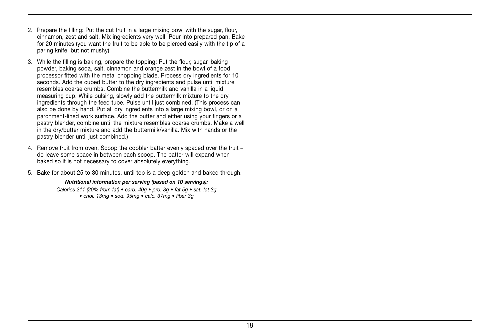- 2. Prepare the filling: Put the cut fruit in a large mixing bowl with the sugar, flour, cinnamon, zest and salt. Mix ingredients very well. Pour into prepared pan. Bake for 20 minutes (you want the fruit to be able to be pierced easily with the tip of a paring knife, but not mushy).
- 3. While the filling is baking, prepare the topping: Put the flour, sugar, baking powder, baking soda, salt, cinnamon and orange zest in the bowl of a food processor fitted with the metal chopping blade. Process dry ingredients for 10 seconds. Add the cubed butter to the dry ingredients and pulse until mixture resembles coarse crumbs. Combine the buttermilk and vanilla in a liquid measuring cup. While pulsing, slowly add the buttermilk mixture to the dry ingredients through the feed tube. Pulse until just combined. (This process can also be done by hand. Put all dry ingredients into a large mixing bowl, or on a parchment-lined work surface. Add the butter and either using your fingers or a pastry blender, combine until the mixture resembles coarse crumbs. Make a well in the dry/butter mixture and add the buttermilk/vanilla. Mix with hands or the pastry blender until just combined.)
- 4. Remove fruit from oven. Scoop the cobbler batter evenly spaced over the fruit do leave some space in between each scoop. The batter will expand when baked so it is not necessary to cover absolutely everything.
- 5. Bake for about 25 to 30 minutes, until top is a deep golden and baked through.

#### *Nutritional information per serving (based on 10 servings):*

Calories 211 (20% from fat) • carb. 40g • pro. 3g • fat 5g • sat. fat 3g • chol. 13mg • sod. 95mg • calc. 37mg • fiber 3g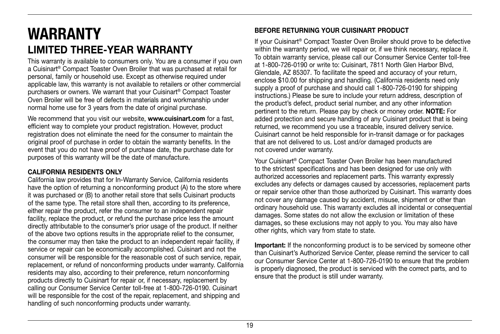## WARRANTY LIMITED THREE-YEAR WARRANTY

This warranty is available to consumers only. You are a consumer if you own a Cuisinart® Compact Toaster Oven Broiler that was purchased at retail for personal, family or household use. Except as otherwise required under applicable law, this warranty is not available to retailers or other commercial purchasers or owners. We warrant that your Cuisinart® Compact Toaster Oven Broiler will be free of defects in materials and workmanship under normal home use for 3 years from the date of original purchase.

We recommend that you visit our website, www.cuisinart.com for a fast, efficient way to complete your product registration. However, product registration does not eliminate the need for the consumer to maintain the original proof of purchase in order to obtain the warranty benefits. In the event that you do not have proof of purchase date, the purchase date for purposes of this warranty will be the date of manufacture.

#### CALIFORNIA RESIDENTS ONLY

California law provides that for In-Warranty Service, California residents have the option of returning a nonconforming product (A) to the store where it was purchased or (B) to another retail store that sells Cuisinart products of the same type. The retail store shall then, according to its preference, either repair the product, refer the consumer to an independent repair facility, replace the product, or refund the purchase price less the amount directly attributable to the consumer's prior usage of the product. If neither of the above two options results in the appropriate relief to the consumer, the consumer may then take the product to an independent repair facility, if service or repair can be economically accomplished. Cuisinart and not the consumer will be responsible for the reasonable cost of such service, repair, replacement, or refund of nonconforming products under warranty. California residents may also, according to their preference, return nonconforming products directly to Cuisinart for repair or, if necessary, replacement by calling our Consumer Service Center toll-free at 1-800-726-0190. Cuisinart will be responsible for the cost of the repair, replacement, and shipping and handling of such nonconforming products under warranty.

#### BEFORE RETURNING YOUR CUISINART PRODUCT

If your Cuisinart® Compact Toaster Oven Broiler should prove to be defective within the warranty period, we will repair or, if we think necessary, replace it. To obtain warranty service, please call our Consumer Service Center toll-free at 1-800-726-0190 or write to: Cuisinart, 7811 North Glen Harbor Blvd, Glendale, AZ 85307. To facilitate the speed and accuracy of your return, enclose \$10.00 for shipping and handling. (California residents need only supply a proof of purchase and should call 1-800-726-0190 for shipping instructions.) Please be sure to include your return address, description of the product's defect, product serial number, and any other information pertinent to the return. Please pay by check or money order. NOTE: For added protection and secure handling of any Cuisinart product that is being returned, we recommend you use a traceable, insured delivery service. Cuisinart cannot be held responsible for in-transit damage or for packages that are not delivered to us. Lost and/or damaged products are not covered under warranty.

Your Cuisinart® Compact Toaster Oven Broiler has been manufactured to the strictest specifications and has been designed for use only with authorized accessories and replacement parts. This warranty expressly excludes any defects or damages caused by accessories, replacement parts or repair service other than those authorized by Cuisinart. This warranty does not cover any damage caused by accident, misuse, shipment or other than ordinary household use. This warranty excludes all incidental or consequential damages. Some states do not allow the exclusion or limitation of these damages, so these exclusions may not apply to you. You may also have other rights, which vary from state to state.

Important: If the nonconforming product is to be serviced by someone other than Cuisinart's Authorized Service Center, please remind the servicer to call our Consumer Service Center at 1-800-726-0190 to ensure that the problem is properly diagnosed, the product is serviced with the correct parts, and to ensure that the product is still under warranty.